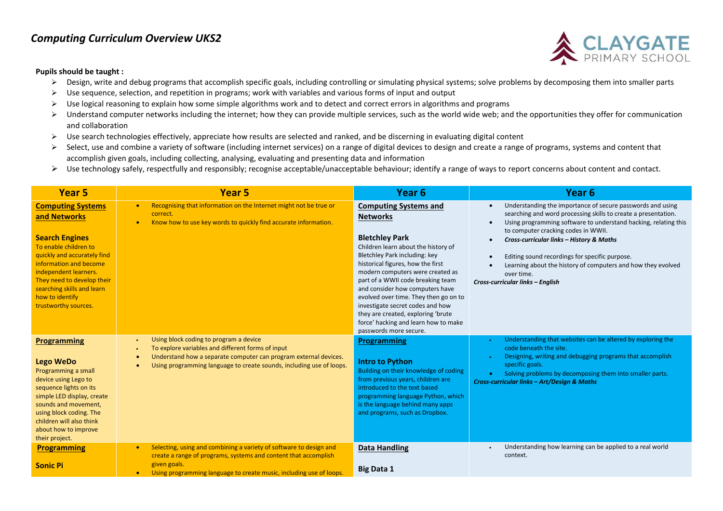## *Computing Curriculum Overview UKS2*



## **Pupils should be taught :**

- $\triangleright$  Design, write and debug programs that accomplish specific goals, including controlling or simulating physical systems; solve problems by decomposing them into smaller parts
- Use sequence, selection, and repetition in programs; work with variables and various forms of input and output
- $\triangleright$  Use logical reasoning to explain how some simple algorithms work and to detect and correct errors in algorithms and programs
- $\triangleright$  Understand computer networks including the internet; how they can provide multiple services, such as the world wide web; and the opportunities they offer for communication and collaboration
- $\triangleright$  Use search technologies effectively, appreciate how results are selected and ranked, and be discerning in evaluating digital content
- $\triangleright$  Select, use and combine a variety of software (including internet services) on a range of digital devices to design and create a range of programs, systems and content that accomplish given goals, including collecting, analysing, evaluating and presenting data and information
- $\triangleright$  Use technology safely, respectfully and responsibly; recognise acceptable/unacceptable behaviour; identify a range of ways to report concerns about content and contact.

| <b>Year 5</b>                                                                                                                                                                                                                                                                       | Year <sub>5</sub>                                                                                                                                                                                                                                      | Year <sub>6</sub>                                                                                                                                                                                                                                                                                                                                                                                                                                                                      | Year 6                                                                                                                                                                                                                                                                                                                                                                                                                                                 |
|-------------------------------------------------------------------------------------------------------------------------------------------------------------------------------------------------------------------------------------------------------------------------------------|--------------------------------------------------------------------------------------------------------------------------------------------------------------------------------------------------------------------------------------------------------|----------------------------------------------------------------------------------------------------------------------------------------------------------------------------------------------------------------------------------------------------------------------------------------------------------------------------------------------------------------------------------------------------------------------------------------------------------------------------------------|--------------------------------------------------------------------------------------------------------------------------------------------------------------------------------------------------------------------------------------------------------------------------------------------------------------------------------------------------------------------------------------------------------------------------------------------------------|
| <b>Computing Systems</b><br>and Networks<br><b>Search Engines</b><br>To enable children to<br>quickly and accurately find<br>information and become<br>independent learners.<br>They need to develop their<br>searching skills and learn<br>how to identify<br>trustworthy sources. | Recognising that information on the Internet might not be true or<br>$\bullet$<br>correct.<br>Know how to use key words to quickly find accurate information.<br>$\bullet$                                                                             | <b>Computing Systems and</b><br><b>Networks</b><br><b>Bletchley Park</b><br>Children learn about the history of<br>Bletchley Park including: key<br>historical figures, how the first<br>modern computers were created as<br>part of a WWII code breaking team<br>and consider how computers have<br>evolved over time. They then go on to<br>investigate secret codes and how<br>they are created, exploring 'brute<br>force' hacking and learn how to make<br>passwords more secure. | Understanding the importance of secure passwords and using<br>searching and word processing skills to create a presentation.<br>Using programming software to understand hacking, relating this<br>to computer cracking codes in WWII.<br>Cross-curricular links - History & Maths<br>Editing sound recordings for specific purpose.<br>Learning about the history of computers and how they evolved<br>over time.<br>Cross-curricular links - English |
| <b>Programming</b><br>Lego WeDo<br>Programming a small<br>device using Lego to<br>sequence lights on its<br>simple LED display, create<br>sounds and movement,<br>using block coding. The<br>children will also think<br>about how to improve<br>their project.                     | Using block coding to program a device<br>To explore variables and different forms of input<br>Understand how a separate computer can program external devices.<br>$\bullet$<br>Using programming language to create sounds, including use of loops.   | <b>Programming</b><br>Intro to Python<br>Building on their knowledge of coding<br>from previous years, children are<br>introduced to the text based<br>programming language Python, which<br>is the language behind many apps<br>and programs, such as Dropbox.                                                                                                                                                                                                                        | Understanding that websites can be altered by exploring the<br>code beneath the site.<br>Designing, writing and debugging programs that accomplish<br>specific goals.<br>Solving problems by decomposing them into smaller parts.<br>Cross-curricular links - Art/Design & Maths                                                                                                                                                                       |
| <b>Programming</b><br><b>Sonic Pi</b>                                                                                                                                                                                                                                               | Selecting, using and combining a variety of software to design and<br>$\bullet$<br>create a range of programs, systems and content that accomplish<br>given goals.<br>Using programming language to create music, including use of loops.<br>$\bullet$ | <b>Data Handling</b><br><b>Big Data 1</b>                                                                                                                                                                                                                                                                                                                                                                                                                                              | Understanding how learning can be applied to a real world<br>context.                                                                                                                                                                                                                                                                                                                                                                                  |